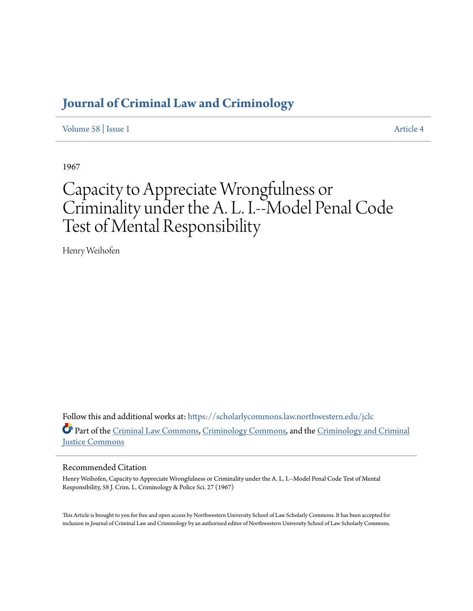## **[Journal of Criminal Law and Criminology](https://scholarlycommons.law.northwestern.edu/jclc?utm_source=scholarlycommons.law.northwestern.edu%2Fjclc%2Fvol58%2Fiss1%2F4&utm_medium=PDF&utm_campaign=PDFCoverPages)**

[Volume 58](https://scholarlycommons.law.northwestern.edu/jclc/vol58?utm_source=scholarlycommons.law.northwestern.edu%2Fjclc%2Fvol58%2Fiss1%2F4&utm_medium=PDF&utm_campaign=PDFCoverPages) | [Issue 1](https://scholarlycommons.law.northwestern.edu/jclc/vol58/iss1?utm_source=scholarlycommons.law.northwestern.edu%2Fjclc%2Fvol58%2Fiss1%2F4&utm_medium=PDF&utm_campaign=PDFCoverPages) [Article 4](https://scholarlycommons.law.northwestern.edu/jclc/vol58/iss1/4?utm_source=scholarlycommons.law.northwestern.edu%2Fjclc%2Fvol58%2Fiss1%2F4&utm_medium=PDF&utm_campaign=PDFCoverPages)

1967

# Capacity to Appreciate Wrongfulness or Criminality under the A. L. I.--Model Penal Code Test of Mental Responsibility

Henry Weihofen

Follow this and additional works at: [https://scholarlycommons.law.northwestern.edu/jclc](https://scholarlycommons.law.northwestern.edu/jclc?utm_source=scholarlycommons.law.northwestern.edu%2Fjclc%2Fvol58%2Fiss1%2F4&utm_medium=PDF&utm_campaign=PDFCoverPages) Part of the [Criminal Law Commons](http://network.bepress.com/hgg/discipline/912?utm_source=scholarlycommons.law.northwestern.edu%2Fjclc%2Fvol58%2Fiss1%2F4&utm_medium=PDF&utm_campaign=PDFCoverPages), [Criminology Commons](http://network.bepress.com/hgg/discipline/417?utm_source=scholarlycommons.law.northwestern.edu%2Fjclc%2Fvol58%2Fiss1%2F4&utm_medium=PDF&utm_campaign=PDFCoverPages), and the [Criminology and Criminal](http://network.bepress.com/hgg/discipline/367?utm_source=scholarlycommons.law.northwestern.edu%2Fjclc%2Fvol58%2Fiss1%2F4&utm_medium=PDF&utm_campaign=PDFCoverPages) [Justice Commons](http://network.bepress.com/hgg/discipline/367?utm_source=scholarlycommons.law.northwestern.edu%2Fjclc%2Fvol58%2Fiss1%2F4&utm_medium=PDF&utm_campaign=PDFCoverPages)

#### Recommended Citation

Henry Weihofen, Capacity to Appreciate Wrongfulness or Criminality under the A. L. I.--Model Penal Code Test of Mental Responsibility, 58 J. Crim. L. Criminology & Police Sci. 27 (1967)

This Article is brought to you for free and open access by Northwestern University School of Law Scholarly Commons. It has been accepted for inclusion in Journal of Criminal Law and Criminology by an authorized editor of Northwestern University School of Law Scholarly Commons.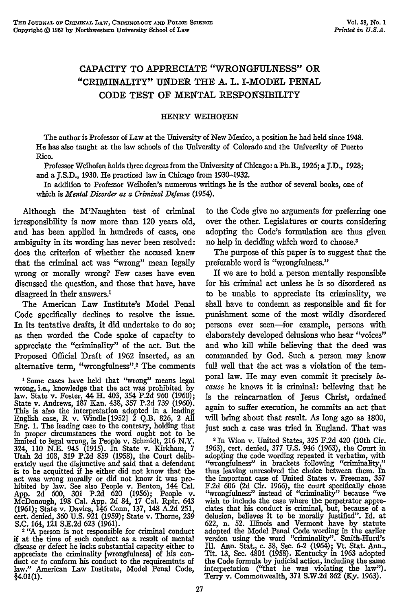### CAPACITY TO APPRECIATE **"WRONGFULNESS"** OR "CRIMINALITY" **UNDER** THE **A.** L. I-MODEL **PENAL CODE TEST** OF **MENTAL** RESPONSIBILITY

#### HENRY WEIHOFEN

The author is Professor of Law at the University of New Mexico, a position he had held since 1948. He has also taught at the law schools of the University of Colorado and the University of Puerto Rico.

Professor Weihofen holds three degrees from the University of Chicago: a Ph.B., **1926;** a **J.D., 1928;** and a **J.S.D., 1930.** He practiced law in Chicago from **1930-1932.**

In addition to Professor Weihofen's numerous writings he is the author of several books, one of which is *Mental Disorder as a Criminal Defense* (1954).

Although the M'Naughten test of criminal irresponsibility is now more than 120 years old, and has been applied in hundreds of cases, one ambiguity in its wording has never been resolved: does the criterion of whether the accused knew that the criminal act was "wrong" mean legally wrong or morally wrong? Few cases have even discussed the question, and those that have, have disagreed in their answers.'

The American Law Institute's Model Penal Code specifically declines to resolve the issue. In its tentative drafts, it did undertake to do so; as then worded the Code spoke of capacity to appreciate the "criminality" of the act. But the Proposed Official Draft of 1962 inserted, as an alternative term, "wrongfulness".<sup>2</sup> The comments

'Some cases have held that "wrong" means legal wrong, i.e., knowledge that the act was prohibited by law. State v. Foster, 44 H. 403, 354 P.2d 960 (1960); State v. Andrews, 187 Kan. 438, 357 P.2d 739 (1960). This is also the interpretation adopted in a leading English case, R v. Windle [1952] 2 Q.B. 826, 2 All Eng. 1. The leading case to the contrary, holding that in proper circumstances the word ought not to be limited to legal wrong, is People v. Schmidt, 216 N.Y. 324, 110 N.E. 945 (1915). In State v. Kirkham, 7 Utah 2d 108, 319 P.2d 859 **(1958),** the Court delib-erately used the disjunctive and said that a defendant is to be acquitted if he either did not know that the act was wrong morally or did not know it was prohibited by law. See also People v. Benton, 144 Cal. App. 2d 600, 301 P.2d 620 (1956); People v. McDonough, **198** Cal. App. 2d 84, **17** Cal. Rptr. 643 (1961); State v. Davies, 146 Conn. 137, 148 A.2d **251,** cert. denied, 360 U.S. **921 (1959);** State v. Thorne, 239 S.C. 164, 121 S.E.2d 623 (1961). <sup>2</sup><br><sup>2</sup> "A person is not responsible for criminal conduct

<sup>2</sup><sup>14</sup>A person is not responsible for criminal conduct if at the time of such conduct as a result of mental disease or defect he lacks substantial capacity either to appreciate the criminality [wrongfulness] of his conduct or to conform his conduct to the requiremtnts of law." American Law Institute, Model Penal Code, §4.01(1).

to the Code give no arguments for preferring one over the other. Legislatures or courts considering adopting the Code's formulation are thus given no help in deciding which word to choose.3

The purpose of this paper is to suggest that the preferable word is "wrongfulness."

If we are to hold a person mentally responsible for his criminal act unless he is so disordered as to be unable to appreciate its criminality, we shall have to condemn as responsible and fit for punishment some of the most wildly disordered persons ever seen-for example, persons with elaborately developed delusions who hear "voices" and who kill while believing that the deed was commanded by God. Such a person may know full well that the act was a violation of the temporal law. He may even commit it precisely *because* he knows it is criminal: believing that he is the reincarnation of Jesus Christ, ordained again to suffer execution, he commits an act that will bring about that result. As long ago as 1800, just such a case was tried in England. That was

**3** In Wion v. United States, 325 F.2d 420 (10th Cir. 1963), cert. denied, 377 U.S. 946 (1963), the Court in adopting the code wording repeated it verbatim, with "wrongfulness" in brackets following "criminality," thus leaving unresolved the choice between them. In the important case of United States v. Freeman, **357 F.2d 606 (2d** Cir. 1966), the court specifically chose "wrongfulness" instead of "criminality" because "we wish to include the case where the perpetrator appre-ciates that his conduct is criminal, but, because of a delusion, believes it to be morally justified". Id. at 622, n. **52.** Illinois and Vermont have by statute adopted the Model Penal Code wording in the earlier version using the word "criminality". Smith-Hurd's **.ll.** Ann. Stat., c. **38,** Sec. 6-2 (1964); Vt. Stat. Ann., Tit. 13, Sec. 4801 (1958). Kentucky in 1963 adopted the Code formula by judicial action, including the same interpretation ("that he was violating the law"). Terry v. Commonwealth, 371 S.W.2d 862 (Ky. 1963).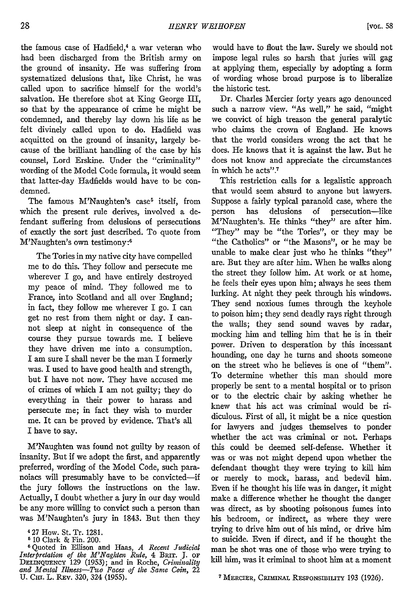the famous case of Hadfield,4 a war veteran who had been discharged from the British army on the ground of insanity. He was suffering from systematized delusions that, like Christ, he was called upon to sacrifice himself for the world's salvation. He therefore shot at King George III, so that by the appearance of crime he might be condemned, and thereby lay down his life as he felt divinely called upon to do. Hadfield was acquitted on the ground of insanity, largely because of the brilliant handling of the case by his counsel, Lord Erskine. Under the "criminality" wording of the Model Code formula, it would seem that latter-day Hadfields would have to be condemned.

The famous M'Naughten's case<sup>5</sup> itself, from which the present rule derives, involved a defendant suffering from delusions of persecutions of exactly the sort just described. To quote from M'Naughten's own testimony:<sup>6</sup>

The Tories in my native city have compelled me to do this. They follow and persecute me wherever I go, and have entirely destroyed my peace of mind. They followed me to France, into Scotland and all over England; in fact, they follow me wherever I go. I can get no rest from them night or day. I cannot sleep at night in consequence of the course they pursue towards me. I believe they have driven me into a consumption. I am sure I shall never be the man I formerly was. I used to have good health and strength, but I have not now. They have accused me of crimes of which I am not guilty; they do everything in their power to harass and persecute me; in fact they wish to murder me. It can be proved by evidence. That's all I have to say.

M'Naughten was found not guilty by reason of insanity. But if we adopt the first, and apparently preferred, wording of the Model Code, such paranoiacs will presumably have to be convicted-if the jury follows the instructions on the law. Actually, I doubt whether a jury in our day would be any more willing to convict such a person than was M'Naughten's jury in 1843. But then they

**5 10** Clark & Fin. 200. 6Quoted in Ellison and Haas, *A Recent Judicial Interpretation of the M'Naghten Rule,* 4 BRIT. J. OF *DELINQuENCY* 129 (1953); and in Roche, *Criminality and Mental Illness-Two Faces of the Same Coin,* <sup>22</sup> U. Cm. L. REv. 320, 324 (1955).

would have to flout the law. Surely we should not impose legal rules so harsh that juries will gag at applying them, especially by adopting a form of wording whose broad purpose is to liberalize the historic test.

Dr. Charles Mercier forty years ago denounced such a narrow view. "As well," he said, "might we convict of high treason the general paralytic who claims the crown of England. He knows that the world considers wrong the act that he does. He knows that it is against the law. But he does not know and appreciate the circumstances in which he acts".7

This restriction calls for a legalistic approach that would seem absurd to anyone but lawyers. Suppose a fairly typical paranoid case, where the person has delusions of persecution-like M'Naughten's. He thinks "they" are after him. "They" may be "the Tories", or they may be "the Catholics" or "the Masons", or he may be unable to make clear just who he thinks "they" are. But they are after him. When he walks along the street they follow him. At work or at home, he feels their eyes upon him; always he sees them lurking. At night they peek through his windows. They send noxious fumes through the keyhole to poison him; they send deadly rays right through the walls; they send sound waves by radar, mocking him and telling him that he is in their power. Driven to desperation by this incessant hounding, one day he turns and shoots someone on the street who he believes is one of "them". To determine whether this man should more properly be sent to a mental hospital or to prison or to the electric chair by asking whether he knew that his act was criminal would be ridiculous. First of all, it might be a nice question for lawyers and judges themselves to ponder whether the act was criminal or not. Perhaps this could be deemed self-defense. Whether it was or was not might depend upon whether the defendant thought they were trying to kill him or merely to mock, harass, and bedevil him. Even if he thought his life was in danger, it might make a difference whether he thought the danger was direct, as by shooting poisonous fumes into his bedroom, or indirect, as where they were trying to drive him out of his mind, or drive him to suicide. Even if direct, and if he thought the man he shot was one of those who were trying to kill him, was it criminal to shoot him at a moment

<sup>7</sup> MERCIER, CRIMINAL RESPONSIBILITY 193 (1926).

<sup>427</sup> How. St. Tr. 1281.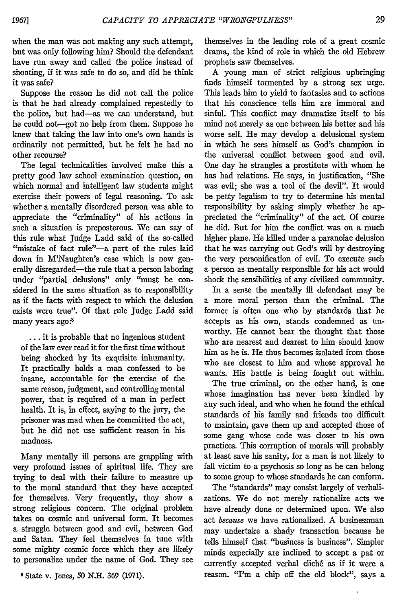when the man was not making any such attempt, but was only following him? Should the defendant have run away and called the police instead of shooting, if it was safe to do so, and did he think it was safe?

Suppose the reason he did not call the police is that he had already complained repeatedly to the police, but had-as we can understand, but he could not-got no help from them. Suppose he knew that taking the law into one's own hands is ordinarily not permitted, but he felt he had no other recourse?

The legal technicalities involved make this a pretty good law school examination question, on which normal and intelligent law students might exercise their powers of legal reasoning. To ask whether a mentally disordered person was able to appreciate the "criminality" of his actions in such a situation is preposterous. We can say of this rule what Judge Ladd said of the so-called "mistake of fact rule"-- a part of the rules laid down in M'Naughten's case which is now generally disregarded-the rule that a person laboring under "partial delusions" only "must be considered in the same situation as to responsibility as if the facts with respect to which the delusion exists were true". Of that rule Judge Ladd said many years ago.<sup>8</sup>

**...** it is probable that no ingenious student of the law ever read it for the first time without being shocked by its exquisite inhumanity. It practically holds a man confessed to be insane, accountable for the exercise of the same reason, judgment, and controlling mental power, that is required of a man in perfect health. It is, in effect, saying to the jury, the prisoner was mad when he committed the act, but he did not use sufficient reason in his madness.

Many mentally ill persons are grappling with very profound issues of spiritual life. They are trying to deal with their failure to measure up to the moral standard that they have accepted for themselves. Very frequently, they show a strong religious concern. The original problem takes on cosmic and universal form. It becomes a struggle between good and evil, between God and Satan. They feel themselves in tune with some mighty cosmic force which they are likely to personalize under the name of God. They see

**8** State v. Jones, *50 N.H.* 369 (1971).

themselves in the leading role of a great cosmic drama, the kind of role in which the old Hebrew prophets saw themselves.

A young man of strict religious upbringing finds himself tormented by a strong sex urge. This leads him to yield to fantasies and to actions that his conscience tells him are immoral and sinful. This conflict may dramatize itself to his mind not merely as one between his better and his worse self. He may develop a delusional system in which he sees himself as God's champion in the universal conflict between good and evil. One day he strangles a prostitute with whom he has had relations. He says, in justification, "She was evil; she was a tool of the devil". It would be petty legalism to try to determine his mental responsibility by asking simply whether he appreciated the "criminality" of the act. Of course he did. But for him the conflict was on a much higher plane. He killed under a paranoiac delusion that he was carrying out God's will by destroying the very personification of evil. To execute such a person as mentally responsible for his act would shock the sensibilities of any civilized community.

In a sense the mentally ill defendant may be a more moral person than the criminal. The former is often one who by standards that he accepts as his own, stands condemned as unworthy. He cannot bear the thought that those who are nearest and dearest to him should know him as he is. He thus becomes isolated from those who are closest to him and whose approval he wants. His battle is being fought out within.

The true criminal, on the other hand, is one whose imagination has never been kindled by any such ideal, and who when he found the ethical standards of his family and friends too difficult to maintain, gave them up and accepted those of some gang whose code was closer to his own practices. This corruption of morals will probably at least save his sanity, for a man is not likely to fall victim to a psychosis so long as he can belong to some group to whose standards he can conform.

The "standards" may consist largely of verbalizations. We do not merely rationalize acts we have already done or determined upon. We also act because we have rationalized. A businessman may undertake a shady transaction because he tells himself that "business is business". Simpler minds expecially are inclined to accept a pat or currently accepted verbal clich6 as **if** it were a reason. "I'm a chip off the old block", says a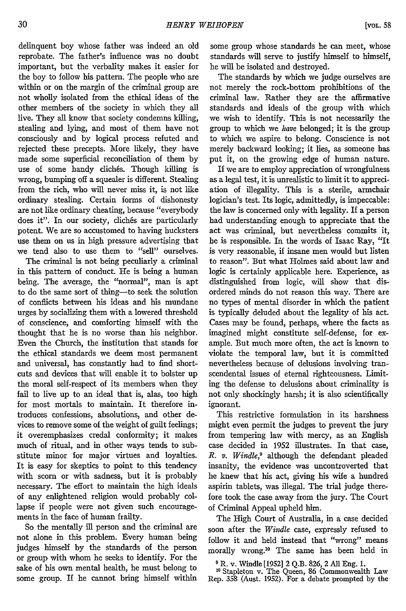delinquent boy whose father was indeed an old reprobate. The father's influence was no doubt important, but the verbality makes it easier for the boy to follow his pattern. The people who are

within or on the margin of the criminal group are not wholly isolated from the ethical ideas of the other members of the society in which they all live. They all know that society condemns killing, stealing and lying, and most of them have not consciously and by logical process refuted and rejected these precepts. More likely, they have made some superficial reconciliation of them by use of some handy clichés. Though killing is wrong, bumping off a squealer is different. Stealing from the rich, who will never miss it, is not like ordinary stealing. Certain forms of dishonesty are not like ordinary cheating, because "everybody does it". In our society, clichés are particularly potent. We are so accustomed to having hucksters use them on us in high pressure advertising that we tend also to use them to "sell" ourselves.

The criminal is not being peculiarly a criminal in this pattern of conduct. He is being a human being. The average, the "normal", man is apt to do the same sort of thing-to seek the solution of conflicts between his ideas and his mundane urges by socializing them with a lowered threshold of conscience, and comforting himself with the thought that he is no worse than his neighbor. Even the Church, the institution that stands for the ethical standards we deem most permanent and universal, has constantly had to find shortcuts and devices that will enable it to bolster up the moral self-respect of its members when they fail to live up to an ideal that is, alas, too high for most mortals to maintain. It therefore introduces confessions, absolutions, and other devices to remove some of the weight of guilt feelings; it overemphasizes credal conformity; it makes much of ritual, and in other ways tends to substitute minor for major virtues and loyalties. It is easy for skeptics to point to this tendency with scorn or with sadness, but it is probably necessary. The effort to maintain the high ideals of any enlightened religion would probably collapse if people were not given such encouragements in the face of human frailty.

So the mentally ill person and the criminal are not alone in this problem. Every human being judges himself by the standards of the person or group with whom he seeks to identify. For the sake of his own mental health, he must belong to some group. If he cannot bring himself within some group whose standards he can meet, whose standards will serve to justify himself to himself, he will be isolated and destroyed.

The standards by which we judge ourselves are not merely the rock-bottom prohibitions of the criminal law. Rather they are the affirmative standards and ideals of the group with which we wish to identify. This is not necessarily the group to which we *have* belonged; it is the group to which we aspire to belong. Conscience is not merely backward looking; it lies, as someone has put it, on the growing edge of human nature.

If we are to employ appreciation of wrongfulness as a legal test, it is unrealistic to limit it to appreciation of illegality. This is a sterile, armchair logician's test. Its logic, admittedly, is impeccable: the law is concerned only with legality. If a person had understanding enough to appreciate that the act was criminal, but nevertheless commits it, he is responsible. In the words of Isaac Ray, "It is very reasonable, if insane men would but listen to reason". But what Holmes said about law and logic is certainly applicable here. Experience, as distinguished from logic, will show that disordered minds do not reason this way. There are no types of mental disorder in which the patient is typically deluded about the legality of his act. Cases may be found, perhaps, where the facts as imagined might constitute self-defense, for example. But much more often, the act is known to violate the temporal law, but it is committed nevertheless because of delusions involving transcendental issues of eternal righteousness. Limiting the defense to delusions about criminality is not only shockingly harsh; it is also scientifically ignorant.

This restrictive formulation in its harshness might even permit the judges to prevent the jury from tempering law with mercy, as an English case decided in 1952 illustrates. In that case, *R. v. Windle,9* although the defendant pleaded insanity, the evidence was uncontroverted that he knew that his act, giving his wife a hundred aspirin tablets, was illegal. The trial judge therefore took the case away from the jury. The Court of Criminal Appeal upheld him.

The High Court of Australia, in a case decided soon after the *Winudle* case, expressly refused to follow it and held instead that "wrong" means morally wrong.<sup>10</sup> The same has been held in

**9** R. v. Windle [1952] 2 Q.B. 826, 2 All Eng. **1. 10** Stapleton v. The Queen, 86 Commonwealth Law Rep. 358 (Aust. 1952). For a debate prompted by the